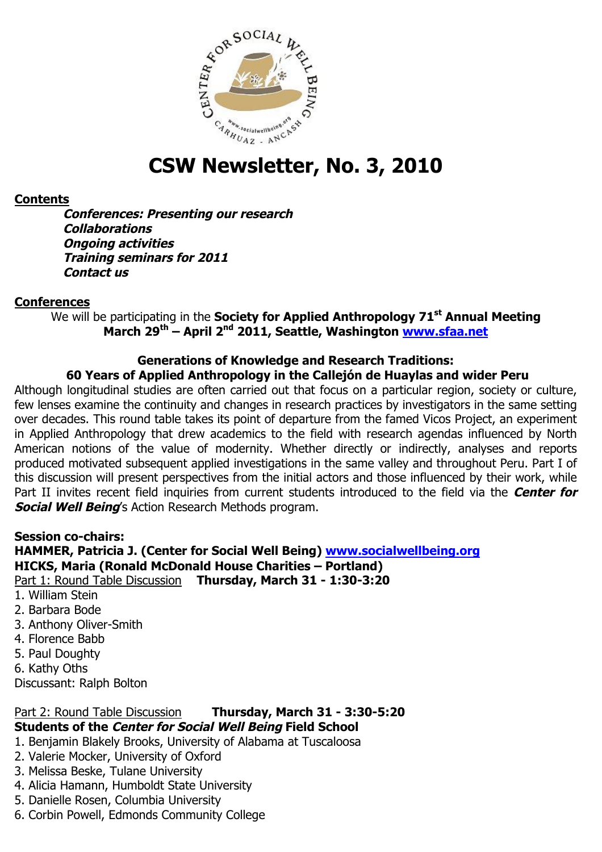

# **CSW Newsletter, No. 3, 2010**

### **Contents**

**Conferences: Presenting our research Collaborations Ongoing activities Training seminars for 2011 Contact us** 

#### **Conferences**

We will be participating in the **Society for Applied Anthropology 71<sup>st</sup> Annual Meeting March 29th – April 2nd 2011, Seattle, Washington www.sfaa.net**

## **Generations of Knowledge and Research Traditions:**

## **60 Years of Applied Anthropology in the Callejón de Huaylas and wider Peru**

Although longitudinal studies are often carried out that focus on a particular region, society or culture, few lenses examine the continuity and changes in research practices by investigators in the same setting over decades. This round table takes its point of departure from the famed Vicos Project, an experiment in Applied Anthropology that drew academics to the field with research agendas influenced by North American notions of the value of modernity. Whether directly or indirectly, analyses and reports produced motivated subsequent applied investigations in the same valley and throughout Peru. Part I of this discussion will present perspectives from the initial actors and those influenced by their work, while Part II invites recent field inquiries from current students introduced to the field via the **Center for Social Well Being**'s Action Research Methods program.

#### **Session co-chairs:**

#### **HAMMER, Patricia J. (Center for Social Well Being) www.socialwellbeing.org HICKS, Maria (Ronald McDonald House Charities – Portland)** Part 1: Round Table Discussion **Thursday, March 31 - 1:30-3:20**

- 1. William Stein
- 2. Barbara Bode
- 3. Anthony Oliver-Smith
- 4. Florence Babb
- 5. Paul Doughty
- 6. Kathy Oths

Discussant: Ralph Bolton

## Part 2: Round Table Discussion **Thursday, March 31 - 3:30-5:20 Students of the Center for Social Well Being Field School**

- 1. Benjamin Blakely Brooks, University of Alabama at Tuscaloosa
- 2. Valerie Mocker, University of Oxford
- 3. Melissa Beske, Tulane University
- 4. Alicia Hamann, Humboldt State University
- 5. Danielle Rosen, Columbia University
- 6. Corbin Powell, Edmonds Community College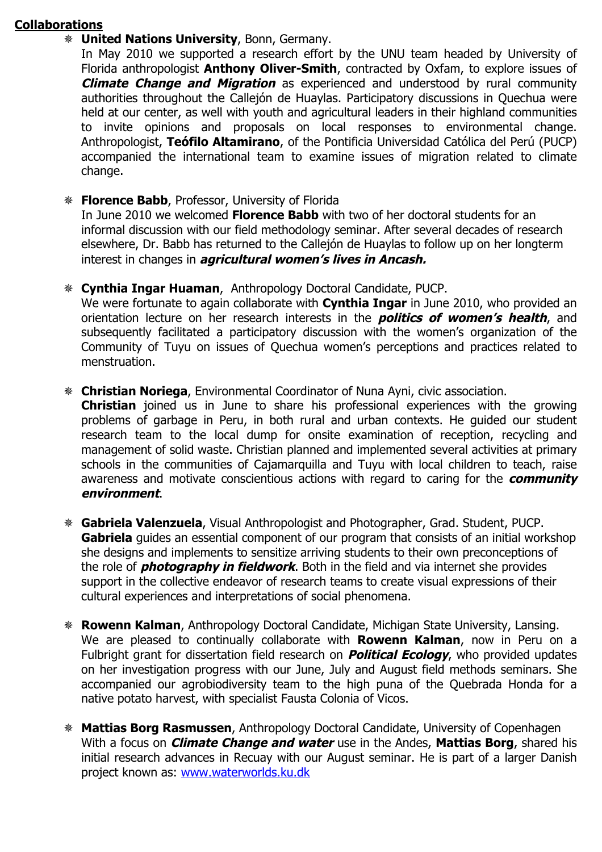## **Collaborations**

## **United Nations University**, Bonn, Germany.

In May 2010 we supported a research effort by the UNU team headed by University of Florida anthropologist **Anthony Oliver-Smith**, contracted by Oxfam, to explore issues of **Climate Change and Migration** as experienced and understood by rural community authorities throughout the Callejón de Huaylas. Participatory discussions in Quechua were held at our center, as well with youth and agricultural leaders in their highland communities to invite opinions and proposals on local responses to environmental change. Anthropologist, **Teófilo Altamirano**, of the Pontificia Universidad Católica del Perú (PUCP) accompanied the international team to examine issues of migration related to climate change.

**Florence Babb**, Professor, University of Florida

In June 2010 we welcomed **Florence Babb** with two of her doctoral students for an informal discussion with our field methodology seminar. After several decades of research elsewhere, Dr. Babb has returned to the Callejón de Huaylas to follow up on her longterm interest in changes in **agricultural women's lives in Ancash.** 

**Cynthia Ingar Huaman**, Anthropology Doctoral Candidate, PUCP.

We were fortunate to again collaborate with **Cynthia Ingar** in June 2010, who provided an orientation lecture on her research interests in the **politics of women's health**, and subsequently facilitated a participatory discussion with the women's organization of the Community of Tuyu on issues of Quechua women's perceptions and practices related to menstruation.

**Christian Noriega**, Environmental Coordinator of Nuna Ayni, civic association.

**Christian** joined us in June to share his professional experiences with the growing problems of garbage in Peru, in both rural and urban contexts. He guided our student research team to the local dump for onsite examination of reception, recycling and management of solid waste. Christian planned and implemented several activities at primary schools in the communities of Cajamarquilla and Tuyu with local children to teach, raise awareness and motivate conscientious actions with regard to caring for the **community environment**.

- **Gabriela Valenzuela**, Visual Anthropologist and Photographer, Grad. Student, PUCP. **Gabriela** guides an essential component of our program that consists of an initial workshop she designs and implements to sensitize arriving students to their own preconceptions of the role of **photography in fieldwork**. Both in the field and via internet she provides support in the collective endeavor of research teams to create visual expressions of their cultural experiences and interpretations of social phenomena.
- **Rowenn Kalman**, Anthropology Doctoral Candidate, Michigan State University, Lansing. We are pleased to continually collaborate with **Rowenn Kalman**, now in Peru on a Fulbright grant for dissertation field research on **Political Ecology**, who provided updates on her investigation progress with our June, July and August field methods seminars. She accompanied our agrobiodiversity team to the high puna of the Quebrada Honda for a native potato harvest, with specialist Fausta Colonia of Vicos.
- **Mattias Borg Rasmussen**, Anthropology Doctoral Candidate, University of Copenhagen With a focus on **Climate Change and water** use in the Andes, **Mattias Borg**, shared his initial research advances in Recuay with our August seminar. He is part of a larger Danish project known as: www.waterworlds.ku.dk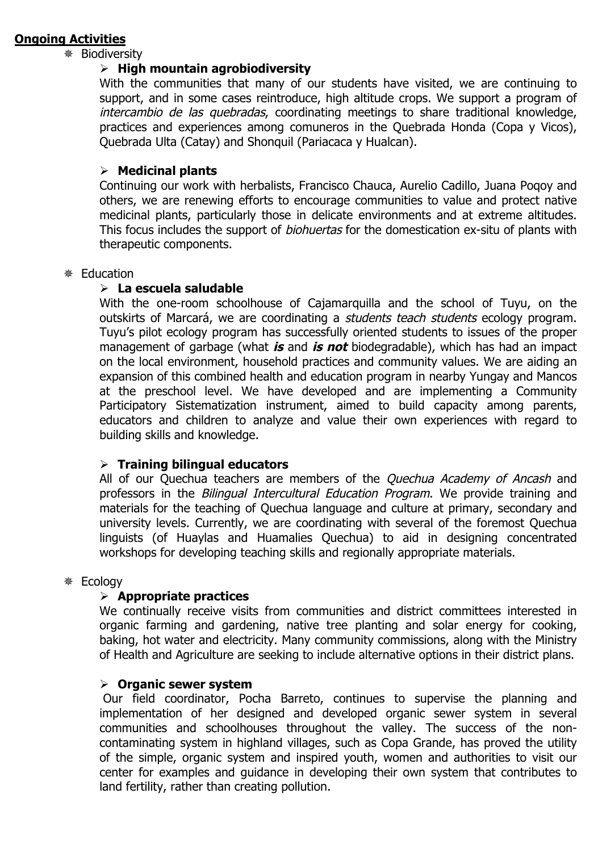### **Ongoing Activities**

#### Biodiversity

#### **High mountain agrobiodiversity**

With the communities that many of our students have visited, we are continuing to support, and in some cases reintroduce, high altitude crops. We support a program of intercambio de las quebradas, coordinating meetings to share traditional knowledge, practices and experiences among comuneros in the Quebrada Honda (Copa y Vicos), Quebrada Ulta (Catay) and Shonquil (Pariacaca y Hualcan).

#### **Medicinal plants**

Continuing our work with herbalists, Francisco Chauca, Aurelio Cadillo, Juana Poqoy and others, we are renewing efforts to encourage communities to value and protect native medicinal plants, particularly those in delicate environments and at extreme altitudes. This focus includes the support of *biohuertas* for the domestication ex-situ of plants with therapeutic components.

#### Education

#### **La escuela saludable**

With the one-room schoolhouse of Cajamarquilla and the school of Tuyu, on the outskirts of Marcará, we are coordinating a students teach students ecology program. Tuyu's pilot ecology program has successfully oriented students to issues of the proper management of garbage (what **is** and **is not** biodegradable), which has had an impact on the local environment, household practices and community values. We are aiding an expansion of this combined health and education program in nearby Yungay and Mancos at the preschool level. We have developed and are implementing a Community Participatory Sistematization instrument, aimed to build capacity among parents, educators and children to analyze and value their own experiences with regard to building skills and knowledge.

#### **Training bilingual educators**

All of our Quechua teachers are members of the *Quechua Academy of Ancash* and professors in the Bilingual Intercultural Education Program. We provide training and materials for the teaching of Quechua language and culture at primary, secondary and university levels. Currently, we are coordinating with several of the foremost Quechua linguists (of Huaylas and Huamalies Quechua) to aid in designing concentrated workshops for developing teaching skills and regionally appropriate materials.

#### Ecology

#### **Appropriate practices**

We continually receive visits from communities and district committees interested in organic farming and gardening, native tree planting and solar energy for cooking, baking, hot water and electricity. Many community commissions, along with the Ministry of Health and Agriculture are seeking to include alternative options in their district plans.

#### **Organic sewer system**

Our field coordinator, Pocha Barreto, continues to supervise the planning and implementation of her designed and developed organic sewer system in several communities and schoolhouses throughout the valley. The success of the noncontaminating system in highland villages, such as Copa Grande, has proved the utility of the simple, organic system and inspired youth, women and authorities to visit our center for examples and guidance in developing their own system that contributes to land fertility, rather than creating pollution.